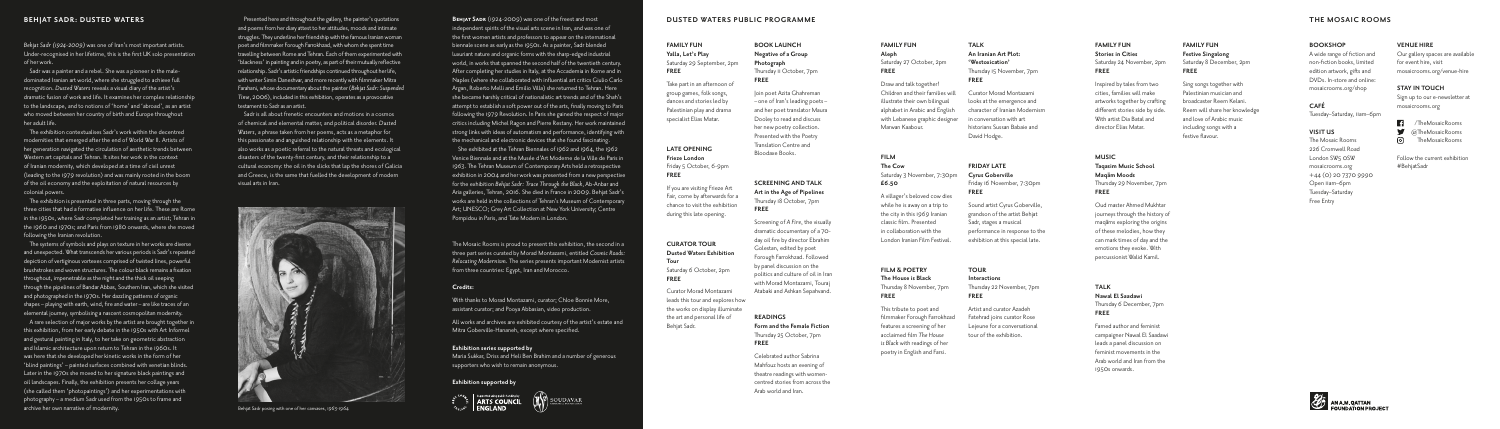# **FAMILY FUN Aleph** Saturday 27 October, 2pm **FREE**

Draw and talk together! Children and their families will illustrate their own bilingual alphabet in Arabic and English with Lebanese graphic designer Marwan Kaabour.

#### **FILM**

**The Cow** Saturday 3 November, 7:30pm

**£6.50**

A villager's beloved cow dies while he is away on a trip to the city in this 1969 Iranian classic film. Presented in collaboration with the London Iranian Film Festival.

#### **FILM & POETRY The House is Black** Thursday 8 November, 7pm **FREE**

This tribute to poet and filmmaker Forough Farrokhzad features a screening of her acclaimed film *The House is Black* with readings of her poetry in English and Farsi.

#### **TALK An Iranian Art Plot: 'Westoxication'** Thursday 15 November, 7pm **FREE**

Curator Morad Montazami looks at the emergence and character of Iranian Modernism in conversation with art historians Sussan Babaie and David Hodge.

#### **FRIDAY LATE**

**Cyrus Goberville** Friday 16 November, 7:30pm **FREE**

Sound artist Cyrus Goberville, grandson of the artist Behjat Sadr, stages a musical performance in response to the exhibition at this special late.

**TOUR Interactions**  Thursday 22 November, 7pm **FREE**

Artist and curator Azadeh Fatehrad joins curator Rose Lejeune for a conversational tour of the exhibition.

# **FAMILY FUN Stories in Cities** Saturday 24 November, 2pm **FREE**

Inspired by tales from two cities, families will make artworks together by crafting different stories side by side. With artist Dia Batal and director Elias Matar.

#### **MUSIC**

**Taqasim Music School Maqa¯m Moods** Thursday 29 November, 7pm **FREE**

Oud master Ahmed Mukhtar journeys through the history of maqams exploring the origins of these melodies, how they can mark times of day and the emotions they evoke. With percussionist Walid Kamil.

#### **TALK**

#### **Nawal El Saadawi**  Thursday 6 December, 7pm **FREE**

Famed author and feminist campaigner Nawal El Saadawi leads a panel discussion on feminist movements in the Arab world and Iran from the 1950s onwards.

#### **BOOKSHOP**

A wide range of fiction and non-fiction books, limited edition artwork, gifts and DVDs. In-store and online: mosaicrooms.org/shop

# **CAFÉ**

Tuesday–Saturday, 11am–6pm

# **VISIT US**

The Mosaic Rooms 226 Cromwell Road London SW<sub>5</sub> OSW mosaicrooms.org +44 (0) 20 7370 9990 Open 11am–6pm Tuesday–Saturday Free Entry

#### **FAMILY FUN Festive Singalong** Saturday 8 December, 2pm **FREE**

Sing songs together with Palestinian musician and broadcaster Reem Kelani. Reem will share her knowledge and love of Arabic music including songs with a festive flavour.

#### **VENUE HIRE**

Our gallery spaces are available for event hire, visit mosaicrooms.org/venue-hire

# **STAY IN TOUCH**

Sign up to our e-newsletter at mosaicrooms.org

/TheMosaicRooms @TheMosaicRooms TheMosaicRooms

Follow the current exhibition #BehjatSadr

**BOOK LAUNCH Negative of a Group Photograph** Thursday 11 October, 7pm **FREE**

Join poet Azita Ghahreman – one of Iran's leading poets– and her poet translator Maura Dooley to read and discuss her new poetry collection. Presented with the Poetry Translation Centre and Bloodaxe Books.

## **SCREENING AND TALK Art in the Age of Pipelines** Thursday 18 October, 7pm **FREE**

Screening of *A Fire*, the visually dramatic documentary of a 70 day oil fire by director Ebrahim Golestan, edited by poet Forough Farrokhzad. Followed by panel discussion on the politics and culture of oil in Iran with Morad Montazami, Touraj Atabaki and Ashkan Sepahvand.

#### **READINGS Form and the Female Fiction** Thursday 25 October, 7pm **FREE**

Celebrated author Sabrina Mahfouz hosts an evening of theatre readings with womencentred stories from across the Arab world and Iran.

# **FAMILY FUN Yalla, Let's Play**  Saturday 29 September, 2pm **FREE**

Take part in an afternoon of group games, folk songs, dances and stories led by Palestinian play and drama specialist Elias Matar.

# **LATE OPENING Frieze London**

Friday 5 October, 6-9pm **FREE**

The exhibition is presented in three parts, moving through the three cities that had a formative influence on her life. These are Rome in the 1950s, where Sadr completed her training as an artist; Tehran in the 1960 and 1970s; and Paris from 1980 onwards, where she moved following the Iranian revolution.

If you are visiting Frieze Art Fair, come by afterwards for a chance to visit the exhibition during this late opening.

## **CURATOR TOUR Dusted Waters Exhibition Tour** Saturday 6 October, 2pm **FREE**

Curator Morad Montazami leads this tour and explores how the works on display illuminate the art and personal life of Behjat Sadr.

**BEHJAT SADR** (1924-2009) was one of the freest and most independent spirits of the visual arts scene in Iran, and was one of the first women artists and professors to appear on the international biennale scene as early as the 1950s. As a painter, Sadr blended luxuriant nature and organic forms with the sharp-edged industrial world, in works that spanned the second half of the twentieth century. After completing her studies in Italy, at the Accademia in Rome and in Naples (where she collaborated with influential art critics Giulio Carlo Argan, Roberto Melli and Emilio Villa) she returned to Tehran. Here she became harshly critical of nationalistic art trends and of the Shah's attempt to establish a soft power out of the arts, finally moving to Paris following the 1979 Revolution. In Paris she gained the respect of major critics including Michel Ragon and Pierre Restany. Her work maintained strong links with ideas of automatism and performance, identifying with the mechanical and electronic devices that she found fascinating.

She exhibited at the Tehran Biennales of 1962 and 1964, the 1962 Venice Biennale and at the Musée d'Art Moderne de la Ville de Paris in 1963. The Tehran Museum of Contemporary Arts held a retrospective exhibition in 2004 and her work was presented from a new perspective for the exhibition *Behjat Sadr: Trace Through the Black*, Ab-Anbar and Aria galleries, Tehran, 2016. She died in France in 2009. Behjat Sadr's works are held in the collections of Tehran's Museum of Contemporary Art; UNESCO; Grey Art Collection at New York University; Centre Pompidou in Paris, and Tate Modern in London.

The Mosaic Rooms is proud to present this exhibition, the second in a three part series curated by Morad Montazami, entitled *Cosmic Roads: Relocating Modernism.* The series presents important Modernist artists from three countries: Egypt, Iran and Morocco.

#### **Credits:**

With thanks to Morad Montazami, curator; Chloe Bonnie More, assistant curator; and Pooya Abbasian, video production.

All works and archives are exhibited courtesy of the artist's estate and Mitra Goberville-Hananeh, except where specified.

#### **Exhibition series supported by**

Maria Sukkar, Driss and Heli Ben Brahim and a number of generous supporters who wish to remain anonymous.

#### **Exhibition supported by**



#### **BEHJAT SADR: DUSTED WATERS**

*Behjat Sadr (1924-2009)* was one of Iran's most important artists. Under-recognised in her lifetime, this is the first UK solo presentation of her work.

Sadr was a painter and a rebel. She was a pioneer in the maledominated Iranian art world, where she struggled to achieve full recognition. *Dusted Waters* reveals a visual diary of the artist's dramatic fusion of work and life. It examines her complex relationship to the landscape, and to notions of 'home' and 'abroad', as an artist who moved between her country of birth and Europe throughout her adult life.

The exhibition contextualises Sadr's work within the decentred modernities that emerged after the end of World War II. Artists of her generation navigated the circulation of aesthetic trends between Western art capitals and Tehran. It sites her work in the context of Iranian modernity, which developed at a time of civil unrest (leading to the 1979 revolution) and was mainly rooted in the boom of the oil economy and the exploitation of natural resources by colonial powers.

The systems of symbols and plays on texture in her works are diverse and unexpected. What transcends her various periods is Sadr's repeated depiction of vertiginous vortexes comprised of twisted lines, powerful brushstrokes and woven structures. The colour black remains a fixation throughout, impenetrable as the night and the thick oil seeping through the pipelines of Bandar Abbas, Southern Iran, which she visited and photographed in the 1970s. Her dazzling patterns of organic shapes – playing with earth, wind, fire and water – are like traces of an elemental journey, symbolising a nascent cosmopolitan modernity.

A rare selection of major works by the artist are brought together in this exhibition, from her early debate in the 1950s with Art Informel and gestural painting in Italy, to her take on geometric abstraction and Islamic architecture upon return to Tehran in the 1960s. It was here that she developed her kinetic works in the form of her 'blind paintings' – painted surfaces combined with venetian blinds. Later in the 1970s she moved to her signature black paintings and oil landscapes. Finally, the exhibition presents her collage years (she called them 'photopaintings') and her experimentations with photography – a medium Sadr used from the 1950s to frame and archive her own narrative of modernity.

Presented here and throughout the gallery, the painter's quotations and poems from her diary attest to her attitudes, moods and intimate struggles. They underline her friendship with the famous Iranian woman poet and filmmaker Forough Farrokhzad, with whom she spent time travelling between Rome and Tehran. Each of them experimented with 'blackness' in painting and in poetry, as part of their mutually reflective relationship. Sadr's artistic friendships continued throughout her life, with writer Simin Daneshvar, and more recently with filmmaker Mitra Farahani, whose documentary about the painter (*Behjat Sadr: Suspended Time*, 2006), included in this exhibition, operates as a provocative testament to Sadr as an artist.

Sadr is all about frenetic encounters and motions in a cosmos of chemical and elemental matter, and political disorder. *Dusted Waters*, a phrase taken from her poems, acts as a metaphor for this passionate and anguished relationship with the elements. It also works as a poetic referral to the natural threats and ecological disasters of the twenty-first century, and their relationship to a cultural economy: the oil in the slicks that lap the shores of Galicia and Greece, is the same that fuelled the development of modern visual arts in Iran.

#### **DUSTED WATERS PUBLIC PROGRAMME THE MOSAIC ROOMS**



Behjat Sadr posing with one of her canvases, 1963-1964